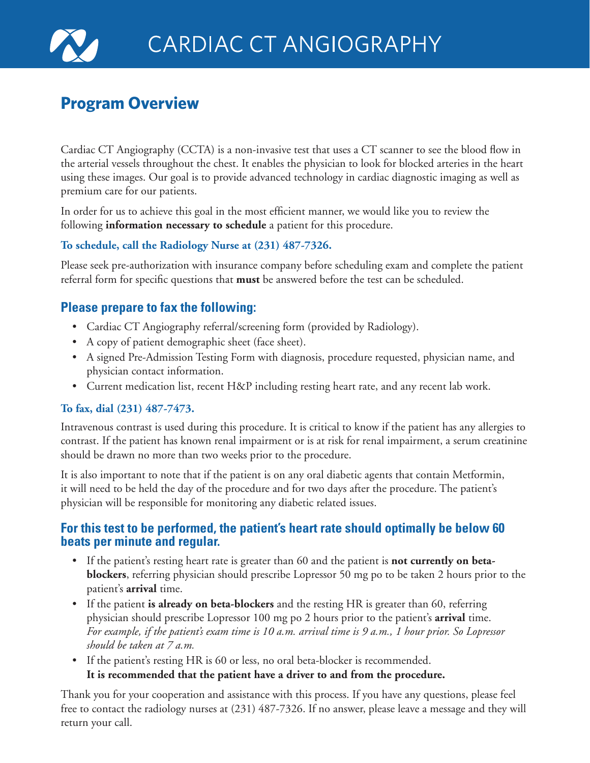

# **Program Overview**

Cardiac CT Angiography (CCTA) is a non-invasive test that uses a CT scanner to see the blood flow in the arterial vessels throughout the chest. It enables the physician to look for blocked arteries in the heart using these images. Our goal is to provide advanced technology in cardiac diagnostic imaging as well as premium care for our patients.

In order for us to achieve this goal in the most efficient manner, we would like you to review the following **information necessary to schedule** a patient for this procedure.

## **To schedule, call the Radiology Nurse at (231) 487-7326.**

Please seek pre-authorization with insurance company before scheduling exam and complete the patient referral form for specific questions that **must** be answered before the test can be scheduled.

## **Please prepare to fax the following:**

- Cardiac CT Angiography referral/screening form (provided by Radiology).
- A copy of patient demographic sheet (face sheet).
- A signed Pre-Admission Testing Form with diagnosis, procedure requested, physician name, and physician contact information.
- Current medication list, recent H&P including resting heart rate, and any recent lab work.

### **To fax, dial (231) 487-7473.**

Intravenous contrast is used during this procedure. It is critical to know if the patient has any allergies to contrast. If the patient has known renal impairment or is at risk for renal impairment, a serum creatinine should be drawn no more than two weeks prior to the procedure.

It is also important to note that if the patient is on any oral diabetic agents that contain Metformin, it will need to be held the day of the procedure and for two days after the procedure. The patient's physician will be responsible for monitoring any diabetic related issues.

## **For this test to be performed, the patient's heart rate should optimally be below 60 beats per minute and regular.**

- If the patient's resting heart rate is greater than 60 and the patient is **not currently on betablockers**, referring physician should prescribe Lopressor 50 mg po to be taken 2 hours prior to the patient's **arrival** time.
- If the patient **is already on beta-blockers** and the resting HR is greater than 60, referring physician should prescribe Lopressor 100 mg po 2 hours prior to the patient's **arrival** time. *For example, if the patient's exam time is 10 a.m. arrival time is 9 a.m., 1 hour prior. So Lopressor should be taken at 7 a.m.*
- If the patient's resting HR is 60 or less, no oral beta-blocker is recommended. **It is recommended that the patient have a driver to and from the procedure.**

Thank you for your cooperation and assistance with this process. If you have any questions, please feel free to contact the radiology nurses at (231) 487-7326. If no answer, please leave a message and they will return your call.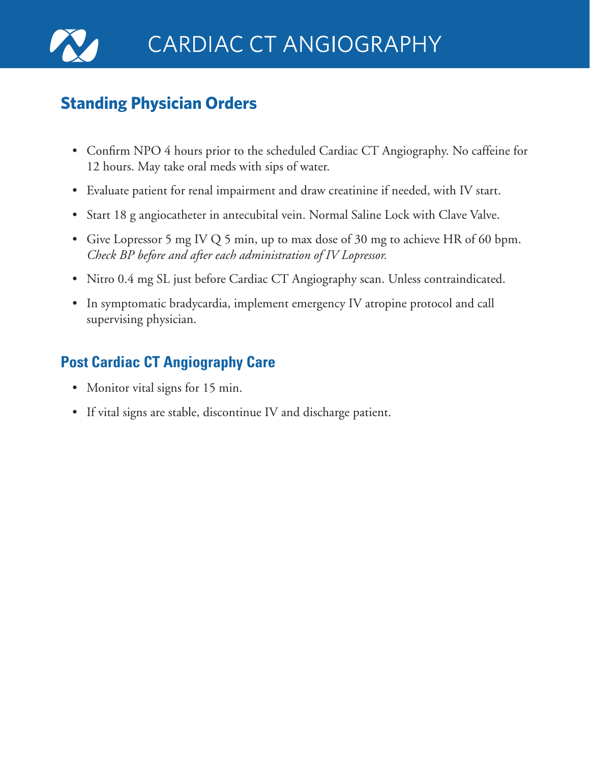

# **Standing Physician Orders**

- Confirm NPO 4 hours prior to the scheduled Cardiac CT Angiography. No caffeine for 12 hours. May take oral meds with sips of water.
- Evaluate patient for renal impairment and draw creatinine if needed, with IV start.
- Start 18 g angiocatheter in antecubital vein. Normal Saline Lock with Clave Valve.
- Give Lopressor 5 mg IV Q 5 min, up to max dose of 30 mg to achieve HR of 60 bpm. *Check BP before and after each administration of IV Lopressor.*
- Nitro 0.4 mg SL just before Cardiac CT Angiography scan. Unless contraindicated.
- In symptomatic bradycardia, implement emergency IV atropine protocol and call supervising physician.

# **Post Cardiac CT Angiography Care**

- Monitor vital signs for 15 min.
- If vital signs are stable, discontinue IV and discharge patient.